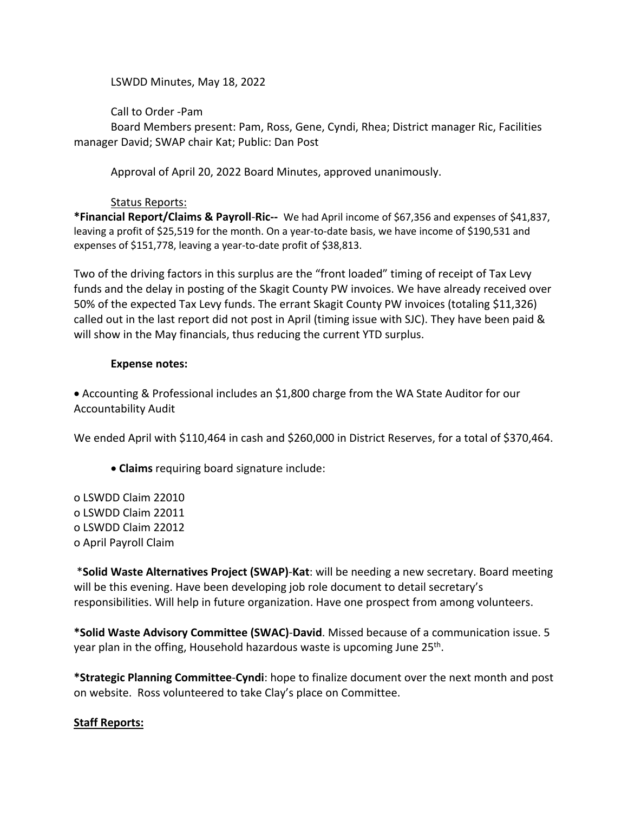LSWDD Minutes, May 18, 2022

Call to Order -Pam

Board Members present: Pam, Ross, Gene, Cyndi, Rhea; District manager Ric, Facilities manager David; SWAP chair Kat; Public: Dan Post

Approval of April 20, 2022 Board Minutes, approved unanimously.

## Status Reports:

**\*Financial Report/Claims & Payroll**-**Ric--** We had April income of \$67,356 and expenses of \$41,837, leaving a profit of \$25,519 for the month. On a year-to-date basis, we have income of \$190,531 and expenses of \$151,778, leaving a year-to-date profit of \$38,813.

Two of the driving factors in this surplus are the "front loaded" timing of receipt of Tax Levy funds and the delay in posting of the Skagit County PW invoices. We have already received over 50% of the expected Tax Levy funds. The errant Skagit County PW invoices (totaling \$11,326) called out in the last report did not post in April (timing issue with SJC). They have been paid & will show in the May financials, thus reducing the current YTD surplus.

### **Expense notes:**

• Accounting & Professional includes an \$1,800 charge from the WA State Auditor for our Accountability Audit

We ended April with \$110,464 in cash and \$260,000 in District Reserves, for a total of \$370,464.

• **Claims** requiring board signature include:

o LSWDD Claim 22010 o LSWDD Claim 22011 o LSWDD Claim 22012 o April Payroll Claim

\***Solid Waste Alternatives Project (SWAP)**-**Kat**: will be needing a new secretary. Board meeting will be this evening. Have been developing job role document to detail secretary's responsibilities. Will help in future organization. Have one prospect from among volunteers.

**\*Solid Waste Advisory Committee (SWAC)**-**David**. Missed because of a communication issue. 5 year plan in the offing, Household hazardous waste is upcoming June 25<sup>th</sup>.

**\*Strategic Planning Committee**-**Cyndi**: hope to finalize document over the next month and post on website. Ross volunteered to take Clay's place on Committee.

# **Staff Reports:**